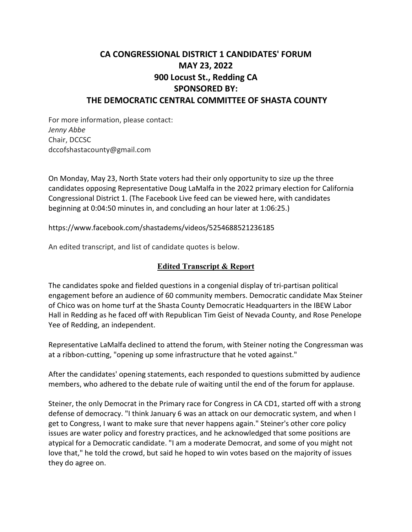# **CA CONGRESSIONAL DISTRICT 1 CANDIDATES' FORUM MAY 23, 2022 900 Locust St., Redding CA SPONSORED BY: THE DEMOCRATIC CENTRAL COMMITTEE OF SHASTA COUNTY**

For more information, please contact: *Jenny Abbe* Chair, DCCSC dccofshastacounty@gmail.com

On Monday, May 23, North State voters had their only opportunity to size up the three candidates opposing Representative Doug LaMalfa in the 2022 primary election for California Congressional District 1. (The Facebook Live feed can be viewed here, with candidates beginning at 0:04:50 minutes in, and concluding an hour later at 1:06:25.)

https://www.facebook.com/shastadems/videos/5254688521236185

An edited transcript, and list of candidate quotes is below.

## **Edited Transcript & Report**

The candidates spoke and fielded questions in a congenial display of tri-partisan political engagement before an audience of 60 community members. Democratic candidate Max Steiner of Chico was on home turf at the Shasta County Democratic Headquarters in the IBEW Labor Hall in Redding as he faced off with Republican Tim Geist of Nevada County, and Rose Penelope Yee of Redding, an independent.

Representative LaMalfa declined to attend the forum, with Steiner noting the Congressman was at a ribbon-cutting, "opening up some infrastructure that he voted against."

After the candidates' opening statements, each responded to questions submitted by audience members, who adhered to the debate rule of waiting until the end of the forum for applause.

Steiner, the only Democrat in the Primary race for Congress in CA CD1, started off with a strong defense of democracy. "I think January 6 was an attack on our democratic system, and when I get to Congress, I want to make sure that never happens again." Steiner's other core policy issues are water policy and forestry practices, and he acknowledged that some positions are atypical for a Democratic candidate. "I am a moderate Democrat, and some of you might not love that," he told the crowd, but said he hoped to win votes based on the majority of issues they do agree on.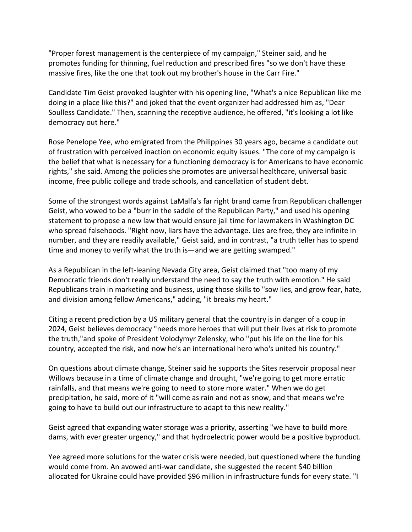"Proper forest management is the centerpiece of my campaign," Steiner said, and he promotes funding for thinning, fuel reduction and prescribed fires "so we don't have these massive fires, like the one that took out my brother's house in the Carr Fire."

Candidate Tim Geist provoked laughter with his opening line, "What's a nice Republican like me doing in a place like this?" and joked that the event organizer had addressed him as, "Dear Soulless Candidate." Then, scanning the receptive audience, he offered, "it's looking a lot like democracy out here."

Rose Penelope Yee, who emigrated from the Philippines 30 years ago, became a candidate out of frustration with perceived inaction on economic equity issues. "The core of my campaign is the belief that what is necessary for a functioning democracy is for Americans to have economic rights," she said. Among the policies she promotes are universal healthcare, universal basic income, free public college and trade schools, and cancellation of student debt.

Some of the strongest words against LaMalfa's far right brand came from Republican challenger Geist, who vowed to be a "burr in the saddle of the Republican Party," and used his opening statement to propose a new law that would ensure jail time for lawmakers in Washington DC who spread falsehoods. "Right now, liars have the advantage. Lies are free, they are infinite in number, and they are readily available," Geist said, and in contrast, "a truth teller has to spend time and money to verify what the truth is—and we are getting swamped."

As a Republican in the left-leaning Nevada City area, Geist claimed that "too many of my Democratic friends don't really understand the need to say the truth with emotion." He said Republicans train in marketing and business, using those skills to "sow lies, and grow fear, hate, and division among fellow Americans," adding, "it breaks my heart."

Citing a recent prediction by a US military general that the country is in danger of a coup in 2024, Geist believes democracy "needs more heroes that will put their lives at risk to promote the truth,"and spoke of President Volodymyr Zelensky, who "put his life on the line for his country, accepted the risk, and now he's an international hero who's united his country."

On questions about climate change, Steiner said he supports the Sites reservoir proposal near Willows because in a time of climate change and drought, "we're going to get more erratic rainfalls, and that means we're going to need to store more water." When we do get precipitation, he said, more of it "will come as rain and not as snow, and that means we're going to have to build out our infrastructure to adapt to this new reality."

Geist agreed that expanding water storage was a priority, asserting "we have to build more dams, with ever greater urgency," and that hydroelectric power would be a positive byproduct.

Yee agreed more solutions for the water crisis were needed, but questioned where the funding would come from. An avowed anti-war candidate, she suggested the recent \$40 billion allocated for Ukraine could have provided \$96 million in infrastructure funds for every state. "I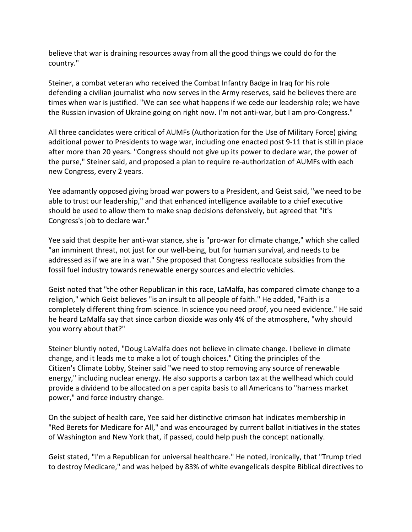believe that war is draining resources away from all the good things we could do for the country."

Steiner, a combat veteran who received the Combat Infantry Badge in Iraq for his role defending a civilian journalist who now serves in the Army reserves, said he believes there are times when war is justified. "We can see what happens if we cede our leadership role; we have the Russian invasion of Ukraine going on right now. I'm not anti-war, but I am pro-Congress."

All three candidates were critical of AUMFs (Authorization for the Use of Military Force) giving additional power to Presidents to wage war, including one enacted post 9-11 that is still in place after more than 20 years. "Congress should not give up its power to declare war, the power of the purse," Steiner said, and proposed a plan to require re-authorization of AUMFs with each new Congress, every 2 years.

Yee adamantly opposed giving broad war powers to a President, and Geist said, "we need to be able to trust our leadership," and that enhanced intelligence available to a chief executive should be used to allow them to make snap decisions defensively, but agreed that "it's Congress's job to declare war."

Yee said that despite her anti-war stance, she is "pro-war for climate change," which she called "an imminent threat, not just for our well-being, but for human survival, and needs to be addressed as if we are in a war." She proposed that Congress reallocate subsidies from the fossil fuel industry towards renewable energy sources and electric vehicles.

Geist noted that "the other Republican in this race, LaMalfa, has compared climate change to a religion," which Geist believes "is an insult to all people of faith." He added, "Faith is a completely different thing from science. In science you need proof, you need evidence." He said he heard LaMalfa say that since carbon dioxide was only 4% of the atmosphere, "why should you worry about that?"

Steiner bluntly noted, "Doug LaMalfa does not believe in climate change. I believe in climate change, and it leads me to make a lot of tough choices." Citing the principles of the Citizen's Climate Lobby, Steiner said "we need to stop removing any source of renewable energy," including nuclear energy. He also supports a carbon tax at the wellhead which could provide a dividend to be allocated on a per capita basis to all Americans to "harness market power," and force industry change.

On the subject of health care, Yee said her distinctive crimson hat indicates membership in "Red Berets for Medicare for All," and was encouraged by current ballot initiatives in the states of Washington and New York that, if passed, could help push the concept nationally.

Geist stated, "I'm a Republican for universal healthcare." He noted, ironically, that "Trump tried to destroy Medicare," and was helped by 83% of white evangelicals despite Biblical directives to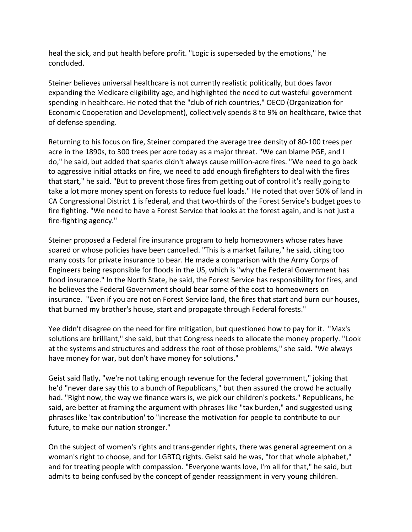heal the sick, and put health before profit. "Logic is superseded by the emotions," he concluded.

Steiner believes universal healthcare is not currently realistic politically, but does favor expanding the Medicare eligibility age, and highlighted the need to cut wasteful government spending in healthcare. He noted that the "club of rich countries," OECD (Organization for Economic Cooperation and Development), collectively spends 8 to 9% on healthcare, twice that of defense spending.

Returning to his focus on fire, Steiner compared the average tree density of 80-100 trees per acre in the 1890s, to 300 trees per acre today as a major threat. "We can blame PGE, and I do," he said, but added that sparks didn't always cause million-acre fires. "We need to go back to aggressive initial attacks on fire, we need to add enough firefighters to deal with the fires that start," he said. "But to prevent those fires from getting out of control it's really going to take a lot more money spent on forests to reduce fuel loads." He noted that over 50% of land in CA Congressional District 1 is federal, and that two-thirds of the Forest Service's budget goes to fire fighting. "We need to have a Forest Service that looks at the forest again, and is not just a fire-fighting agency."

Steiner proposed a Federal fire insurance program to help homeowners whose rates have soared or whose policies have been cancelled. "This is a market failure," he said, citing too many costs for private insurance to bear. He made a comparison with the Army Corps of Engineers being responsible for floods in the US, which is "why the Federal Government has flood insurance." In the North State, he said, the Forest Service has responsibility for fires, and he believes the Federal Government should bear some of the cost to homeowners on insurance. "Even if you are not on Forest Service land, the fires that start and burn our houses, that burned my brother's house, start and propagate through Federal forests."

Yee didn't disagree on the need for fire mitigation, but questioned how to pay for it. "Max's solutions are brilliant," she said, but that Congress needs to allocate the money properly. "Look at the systems and structures and address the root of those problems," she said. "We always have money for war, but don't have money for solutions."

Geist said flatly, "we're not taking enough revenue for the federal government," joking that he'd "never dare say this to a bunch of Republicans," but then assured the crowd he actually had. "Right now, the way we finance wars is, we pick our children's pockets." Republicans, he said, are better at framing the argument with phrases like "tax burden," and suggested using phrases like 'tax contribution' to "increase the motivation for people to contribute to our future, to make our nation stronger."

On the subject of women's rights and trans-gender rights, there was general agreement on a woman's right to choose, and for LGBTQ rights. Geist said he was, "for that whole alphabet," and for treating people with compassion. "Everyone wants love, I'm all for that," he said, but admits to being confused by the concept of gender reassignment in very young children.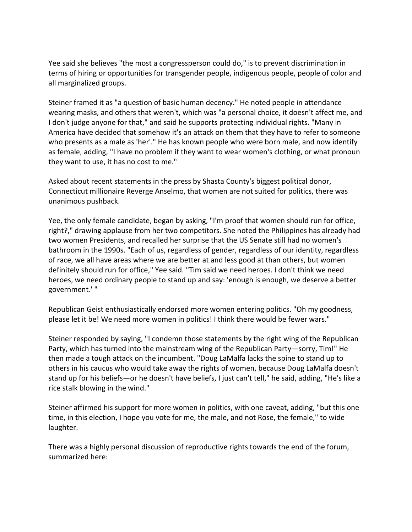Yee said she believes "the most a congressperson could do," is to prevent discrimination in terms of hiring or opportunities for transgender people, indigenous people, people of color and all marginalized groups.

Steiner framed it as "a question of basic human decency." He noted people in attendance wearing masks, and others that weren't, which was "a personal choice, it doesn't affect me, and I don't judge anyone for that," and said he supports protecting individual rights. "Many in America have decided that somehow it's an attack on them that they have to refer to someone who presents as a male as 'her'." He has known people who were born male, and now identify as female, adding, "I have no problem if they want to wear women's clothing, or what pronoun they want to use, it has no cost to me."

Asked about recent statements in the press by Shasta County's biggest political donor, Connecticut millionaire Reverge Anselmo, that women are not suited for politics, there was unanimous pushback.

Yee, the only female candidate, began by asking, "I'm proof that women should run for office, right?," drawing applause from her two competitors. She noted the Philippines has already had two women Presidents, and recalled her surprise that the US Senate still had no women's bathroom in the 1990s. "Each of us, regardless of gender, regardless of our identity, regardless of race, we all have areas where we are better at and less good at than others, but women definitely should run for office," Yee said. "Tim said we need heroes. I don't think we need heroes, we need ordinary people to stand up and say: 'enough is enough, we deserve a better government.' "

Republican Geist enthusiastically endorsed more women entering politics. "Oh my goodness, please let it be! We need more women in politics! I think there would be fewer wars."

Steiner responded by saying, "I condemn those statements by the right wing of the Republican Party, which has turned into the mainstream wing of the Republican Party—sorry, Tim!" He then made a tough attack on the incumbent. "Doug LaMalfa lacks the spine to stand up to others in his caucus who would take away the rights of women, because Doug LaMalfa doesn't stand up for his beliefs—or he doesn't have beliefs, I just can't tell," he said, adding, "He's like a rice stalk blowing in the wind."

Steiner affirmed his support for more women in politics, with one caveat, adding, "but this one time, in this election, I hope you vote for me, the male, and not Rose, the female," to wide laughter.

There was a highly personal discussion of reproductive rights towards the end of the forum, summarized here: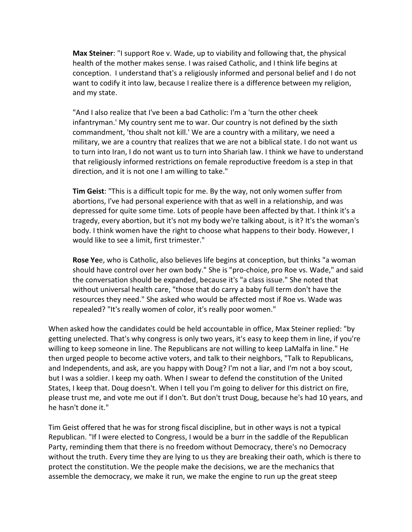**Max Steiner**: "I support Roe v. Wade, up to viability and following that, the physical health of the mother makes sense. I was raised Catholic, and I think life begins at conception. I understand that's a religiously informed and personal belief and I do not want to codify it into law, because I realize there is a difference between my religion, and my state.

"And I also realize that I've been a bad Catholic: I'm a 'turn the other cheek infantryman.' My country sent me to war. Our country is not defined by the sixth commandment, 'thou shalt not kill.' We are a country with a military, we need a military, we are a country that realizes that we are not a biblical state. I do not want us to turn into Iran, I do not want us to turn into Shariah law. I think we have to understand that religiously informed restrictions on female reproductive freedom is a step in that direction, and it is not one I am willing to take."

**Tim Geist**: "This is a difficult topic for me. By the way, not only women suffer from abortions, I've had personal experience with that as well in a relationship, and was depressed for quite some time. Lots of people have been affected by that. I think it's a tragedy, every abortion, but it's not my body we're talking about, is it? It's the woman's body. I think women have the right to choose what happens to their body. However, I would like to see a limit, first trimester."

**Rose Ye**e, who is Catholic, also believes life begins at conception, but thinks "a woman should have control over her own body." She is "pro-choice, pro Roe vs. Wade," and said the conversation should be expanded, because it's "a class issue." She noted that without universal health care, "those that do carry a baby full term don't have the resources they need." She asked who would be affected most if Roe vs. Wade was repealed? "It's really women of color, it's really poor women."

When asked how the candidates could be held accountable in office, Max Steiner replied: "by getting unelected. That's why congress is only two years, it's easy to keep them in line, if you're willing to keep someone in line. The Republicans are not willing to keep LaMalfa in line." He then urged people to become active voters, and talk to their neighbors, "Talk to Republicans, and Independents, and ask, are you happy with Doug? I'm not a liar, and I'm not a boy scout, but I was a soldier. I keep my oath. When I swear to defend the constitution of the United States, I keep that. Doug doesn't. When I tell you I'm going to deliver for this district on fire, please trust me, and vote me out if I don't. But don't trust Doug, because he's had 10 years, and he hasn't done it."

Tim Geist offered that he was for strong fiscal discipline, but in other ways is not a typical Republican. "If I were elected to Congress, I would be a burr in the saddle of the Republican Party, reminding them that there is no freedom without Democracy, there's no Democracy without the truth. Every time they are lying to us they are breaking their oath, which is there to protect the constitution. We the people make the decisions, we are the mechanics that assemble the democracy, we make it run, we make the engine to run up the great steep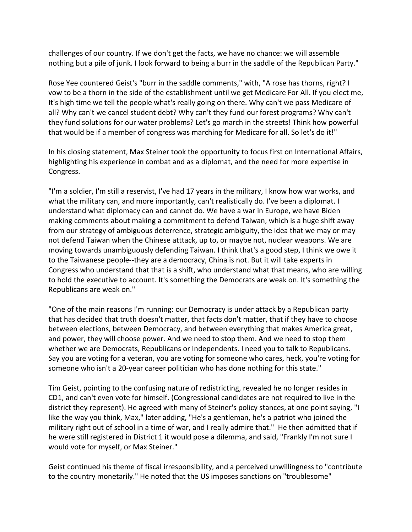challenges of our country. If we don't get the facts, we have no chance: we will assemble nothing but a pile of junk. I look forward to being a burr in the saddle of the Republican Party."

Rose Yee countered Geist's "burr in the saddle comments," with, "A rose has thorns, right? I vow to be a thorn in the side of the establishment until we get Medicare For All. If you elect me, It's high time we tell the people what's really going on there. Why can't we pass Medicare of all? Why can't we cancel student debt? Why can't they fund our forest programs? Why can't they fund solutions for our water problems? Let's go march in the streets! Think how powerful that would be if a member of congress was marching for Medicare for all. So let's do it!"

In his closing statement, Max Steiner took the opportunity to focus first on International Affairs, highlighting his experience in combat and as a diplomat, and the need for more expertise in Congress.

"I'm a soldier, I'm still a reservist, I've had 17 years in the military, I know how war works, and what the military can, and more importantly, can't realistically do. I've been a diplomat. I understand what diplomacy can and cannot do. We have a war in Europe, we have Biden making comments about making a commitment to defend Taiwan, which is a huge shift away from our strategy of ambiguous deterrence, strategic ambiguity, the idea that we may or may not defend Taiwan when the Chinese atttack, up to, or maybe not, nuclear weapons. We are moving towards unambiguously defending Taiwan. I think that's a good step, I think we owe it to the Taiwanese people--they are a democracy, China is not. But it will take experts in Congress who understand that that is a shift, who understand what that means, who are willing to hold the executive to account. It's something the Democrats are weak on. It's something the Republicans are weak on."

"One of the main reasons I'm running: our Democracy is under attack by a Republican party that has decided that truth doesn't matter, that facts don't matter, that if they have to choose between elections, between Democracy, and between everything that makes America great, and power, they will choose power. And we need to stop them. And we need to stop them whether we are Democrats, Republicans or Independents. I need you to talk to Republicans. Say you are voting for a veteran, you are voting for someone who cares, heck, you're voting for someone who isn't a 20-year career politician who has done nothing for this state."

Tim Geist, pointing to the confusing nature of redistricting, revealed he no longer resides in CD1, and can't even vote for himself. (Congressional candidates are not required to live in the district they represent). He agreed with many of Steiner's policy stances, at one point saying, "I like the way you think, Max," later adding, "He's a gentleman, he's a patriot who joined the military right out of school in a time of war, and I really admire that." He then admitted that if he were still registered in District 1 it would pose a dilemma, and said, "Frankly I'm not sure I would vote for myself, or Max Steiner."

Geist continued his theme of fiscal irresponsibility, and a perceived unwillingness to "contribute to the country monetarily." He noted that the US imposes sanctions on "troublesome"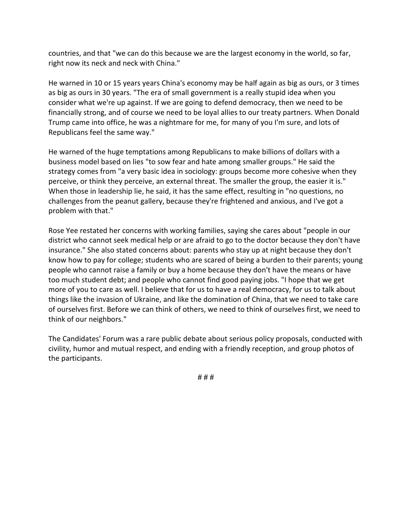countries, and that "we can do this because we are the largest economy in the world, so far, right now its neck and neck with China."

He warned in 10 or 15 years years China's economy may be half again as big as ours, or 3 times as big as ours in 30 years. "The era of small government is a really stupid idea when you consider what we're up against. If we are going to defend democracy, then we need to be financially strong, and of course we need to be loyal allies to our treaty partners. When Donald Trump came into office, he was a nightmare for me, for many of you I'm sure, and lots of Republicans feel the same way."

He warned of the huge temptations among Republicans to make billions of dollars with a business model based on lies "to sow fear and hate among smaller groups." He said the strategy comes from "a very basic idea in sociology: groups become more cohesive when they perceive, or think they perceive, an external threat. The smaller the group, the easier it is." When those in leadership lie, he said, it has the same effect, resulting in "no questions, no challenges from the peanut gallery, because they're frightened and anxious, and I've got a problem with that."

Rose Yee restated her concerns with working families, saying she cares about "people in our district who cannot seek medical help or are afraid to go to the doctor because they don't have insurance." She also stated concerns about: parents who stay up at night because they don't know how to pay for college; students who are scared of being a burden to their parents; young people who cannot raise a family or buy a home because they don't have the means or have too much student debt; and people who cannot find good paying jobs. "I hope that we get more of you to care as well. I believe that for us to have a real democracy, for us to talk about things like the invasion of Ukraine, and like the domination of China, that we need to take care of ourselves first. Before we can think of others, we need to think of ourselves first, we need to think of our neighbors."

The Candidates' Forum was a rare public debate about serious policy proposals, conducted with civility, humor and mutual respect, and ending with a friendly reception, and group photos of the participants.

**# # #**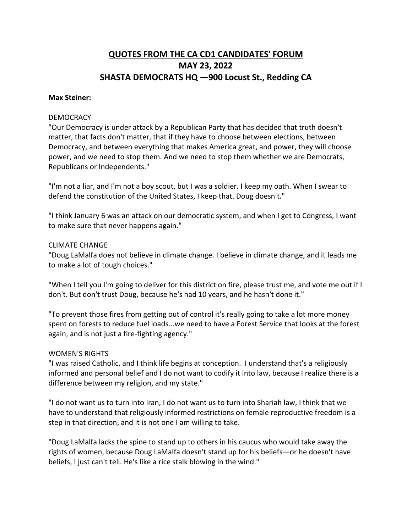## **QUOTES FROM THE CA CD1 CANDIDATES' FORUM MAY 23, 2022 SHASTA DEMOCRATS HQ —900 Locust St., Redding CA**

#### **Max Steiner:**

#### **DEMOCRACY**

"Our Democracy is under attack by a Republican Party that has decided that truth doesn't matter, that facts don't matter, that if they have to choose between elections, between Democracy, and between everything that makes America great, and power, they will choose power, and we need to stop them. And we need to stop them whether we are Democrats, Republicans or Independents."

"I'm not a liar, and I'm not a boy scout, but I was a soldier. I keep my oath. When I swear to defend the constitution of the United States, I keep that. Doug doesn't."

"I think January 6 was an attack on our democratic system, and when I get to Congress, I want to make sure that never happens again."

#### CLIMATE CHANGE

"Doug LaMalfa does not believe in climate change. I believe in climate change, and it leads me to make a lot of tough choices."

"When I tell you I'm going to deliver for this district on fire, please trust me, and vote me out if I don't. But don't trust Doug, because he's had 10 years, and he hasn't done it."

"To prevent those fires from getting out of control it's really going to take a lot more money spent on forests to reduce fuel loads...we need to have a Forest Service that looks at the forest again, and is not just a fire-fighting agency."

#### WOMEN'S RIGHTS

"I was raised Catholic, and I think life begins at conception. I understand that's a religiously informed and personal belief and I do not want to codify it into law, because I realize there is a difference between my religion, and my state."

"I do not want us to turn into Iran, I do not want us to turn into Shariah law, I think that we have to understand that religiously informed restrictions on female reproductive freedom is a step in that direction, and it is not one I am willing to take.

"Doug LaMalfa lacks the spine to stand up to others in his caucus who would take away the rights of women, because Doug LaMalfa doesn't stand up for his beliefs—or he doesn't have beliefs, I just can't tell. He's like a rice stalk blowing in the wind."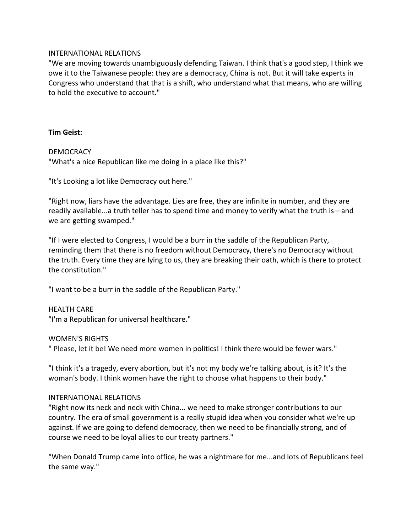#### INTERNATIONAL RELATIONS

"We are moving towards unambiguously defending Taiwan. I think that's a good step, I think we owe it to the Taiwanese people: they are a democracy, China is not. But it will take experts in Congress who understand that that is a shift, who understand what that means, who are willing to hold the executive to account."

## **Tim Geist:**

## DEMOCRACY

"What's a nice Republican like me doing in a place like this?"

"It's Looking a lot like Democracy out here."

"Right now, liars have the advantage. Lies are free, they are infinite in number, and they are readily available...a truth teller has to spend time and money to verify what the truth is—and we are getting swamped."

"If I were elected to Congress, I would be a burr in the saddle of the Republican Party, reminding them that there is no freedom without Democracy, there's no Democracy without the truth. Every time they are lying to us, they are breaking their oath, which is there to protect the constitution."

"I want to be a burr in the saddle of the Republican Party."

## HEALTH CARE

"I'm a Republican for universal healthcare."

## WOMEN'S RIGHTS

" Please, let it be! We need more women in politics! I think there would be fewer wars."

"I think it's a tragedy, every abortion, but it's not my body we're talking about, is it? It's the woman's body. I think women have the right to choose what happens to their body."

## INTERNATIONAL RELATIONS

"Right now its neck and neck with China... we need to make stronger contributions to our country. The era of small government is a really stupid idea when you consider what we're up against. If we are going to defend democracy, then we need to be financially strong, and of course we need to be loyal allies to our treaty partners."

"When Donald Trump came into office, he was a nightmare for me...and lots of Republicans feel the same way."